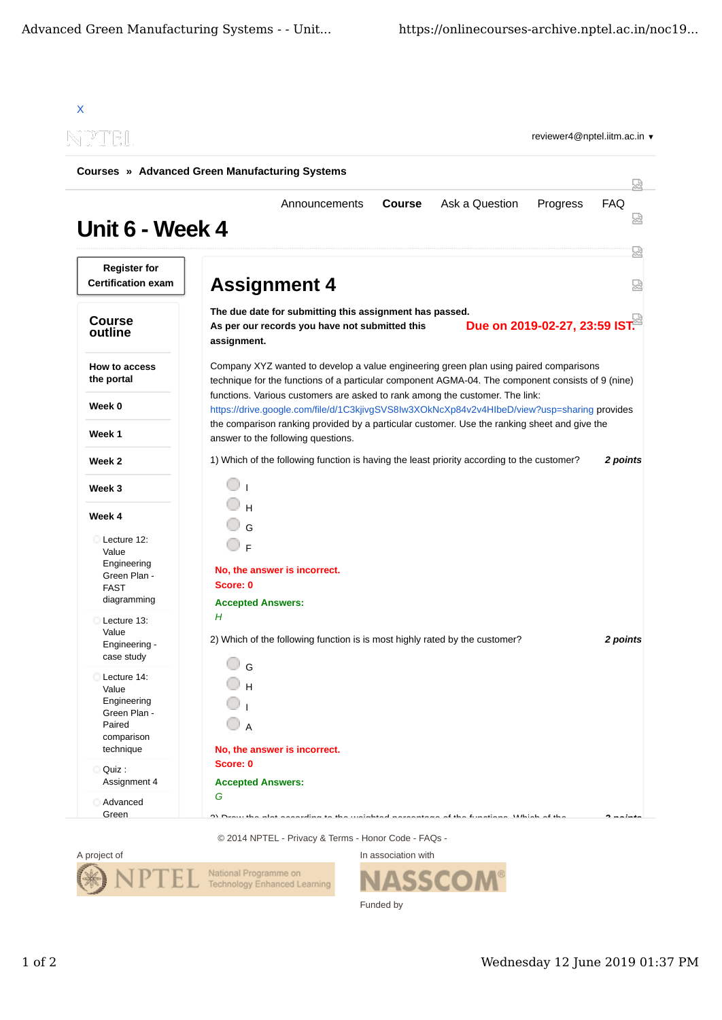| NPTEL<br><b>Courses » Advanced Green Manufacturing Systems</b>              |                                                                                                                                                                                            |                 |  |
|-----------------------------------------------------------------------------|--------------------------------------------------------------------------------------------------------------------------------------------------------------------------------------------|-----------------|--|
| Unit 6 - Week 4                                                             | <b>Course</b><br>Ask a Question<br>Progress<br>Announcements                                                                                                                               | <b>FAQ</b>      |  |
| <b>Register for</b><br><b>Certification exam</b>                            | <b>Assignment 4</b>                                                                                                                                                                        |                 |  |
| <b>Course</b><br>outline                                                    | The due date for submitting this assignment has passed.<br>Due on 2019-02-27, 23:59 IST.<br>As per our records you have not submitted this<br>assignment.                                  |                 |  |
| <b>How to access</b><br>the portal                                          | Company XYZ wanted to develop a value engineering green plan using paired comparisons<br>technique for the functions of a particular component AGMA-04. The component consists of 9 (nine) |                 |  |
| Week 0                                                                      | functions. Various customers are asked to rank among the customer. The link:<br>https://drive.google.com/file/d/1C3kjivgSVS8lw3XOkNcXp84v2v4HlbeD/view?usp=sharing provides                |                 |  |
| Week 1                                                                      | the comparison ranking provided by a particular customer. Use the ranking sheet and give the<br>answer to the following questions.                                                         |                 |  |
| Week 2                                                                      | 1) Which of the following function is having the least priority according to the customer?                                                                                                 | 2 points        |  |
| Week 3                                                                      |                                                                                                                                                                                            |                 |  |
| Week 4                                                                      |                                                                                                                                                                                            |                 |  |
| Lecture 12:<br>Value                                                        | $\mathsf{E}$                                                                                                                                                                               |                 |  |
| Engineering<br>Green Plan -<br><b>FAST</b><br>diagramming                   | No, the answer is incorrect.<br>Score: 0<br><b>Accepted Answers:</b>                                                                                                                       |                 |  |
| Lecture 13:                                                                 | Н                                                                                                                                                                                          |                 |  |
| Value<br>Engineering -<br>case study                                        | 2) Which of the following function is is most highly rated by the customer?                                                                                                                | <b>2 points</b> |  |
| Lecture 14:<br>Value<br>Engineering<br>Green Plan -<br>Paired<br>comparison | $\mathbb{O}$ G<br>О н<br>$\bigcirc$ A                                                                                                                                                      |                 |  |
| technique<br>Quiz:                                                          | No, the answer is incorrect.<br>Score: 0                                                                                                                                                   |                 |  |
| Assignment 4                                                                | <b>Accepted Answers:</b>                                                                                                                                                                   |                 |  |
| Advanced                                                                    | G                                                                                                                                                                                          |                 |  |

© 2014 NPTEL - Privacy & Terms - Honor Code - FAQs -



In association with **SSCOM®** Funded by